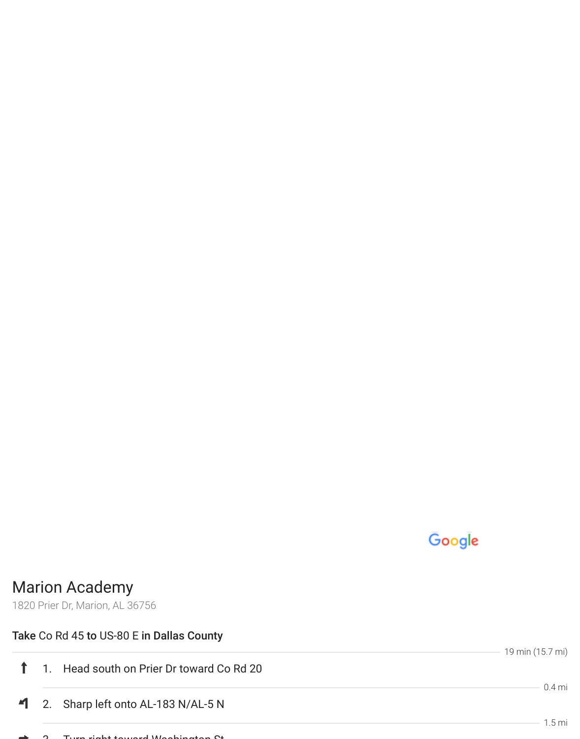## Google

19 min (15.7 mi)

## Marion Academy

1820 Prier Dr, Marion, AL 36756

## Take Co Rd 45 to US-80 E in Dallas County

|  | 1 1. Head south on Prier Dr toward Co Rd 20       |          |
|--|---------------------------------------------------|----------|
|  | $\blacksquare$ 2. Sharp left onto AL-183 N/AL-5 N | $0.4$ mi |
|  |                                                   | 15 mi    |

 $\Omega$ . Turn right to  $\Omega$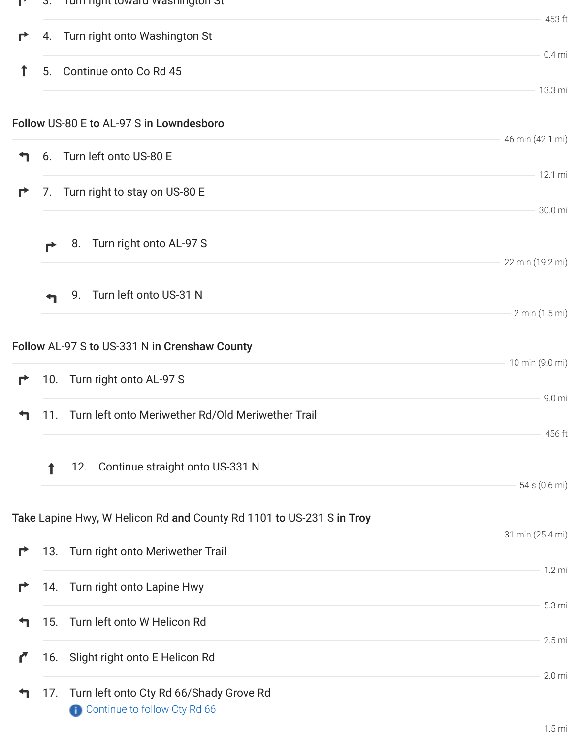| $\mathbf{r}$ |     | 3. Turn right toward washington St                                   |                     |
|--------------|-----|----------------------------------------------------------------------|---------------------|
| r            |     | 4. Turn right onto Washington St                                     | 453 ft              |
| T            |     | 5. Continue onto Co Rd 45                                            | $0.4$ mi            |
|              |     |                                                                      | 13.3 mi             |
|              |     | Follow US-80 E to AL-97 S in Lowndesboro                             |                     |
| ↰            |     | 6. Turn left onto US-80 E                                            | 46 min (42.1 mi)    |
| r            |     | 7. Turn right to stay on US-80 E                                     | 12.1 mi<br>30.0 mi  |
|              | ₹   | Turn right onto AL-97 S<br>8.                                        |                     |
|              |     |                                                                      | 22 min (19.2 mi)    |
|              |     | Turn left onto US-31 N<br>9.                                         | 2 min (1.5 mi)      |
|              |     | Follow AL-97 S to US-331 N in Crenshaw County                        |                     |
| Г            |     | 10. Turn right onto AL-97 S                                          | 10 min (9.0 mi)     |
| ┑            | 11. | Turn left onto Meriwether Rd/Old Meriwether Trail                    | 9.0 mi<br>456 ft    |
|              |     | 12. Continue straight onto US-331 N                                  |                     |
|              |     |                                                                      | 54 s (0.6 mi)       |
|              |     | Take Lapine Hwy, W Helicon Rd and County Rd 1101 to US-231 S in Troy | 31 min (25.4 mi)    |
| r            |     | 13. Turn right onto Meriwether Trail                                 | $1.2 \text{ mi}$    |
| r            |     | 14. Turn right onto Lapine Hwy                                       |                     |
| 7            |     | 15. Turn left onto W Helicon Rd                                      | 5.3 mi              |
| C            |     | 16. Slight right onto E Helicon Rd                                   | 2.5 <sub>mi</sub>   |
| ↰            | 17. | Turn left onto Cty Rd 66/Shady Grove Rd                              | 2.0 <sub>mi</sub>   |
|              |     | Continue to follow Cty Rd 66                                         |                     |
|              |     |                                                                      | $1.5 \,\mathrm{mi}$ |